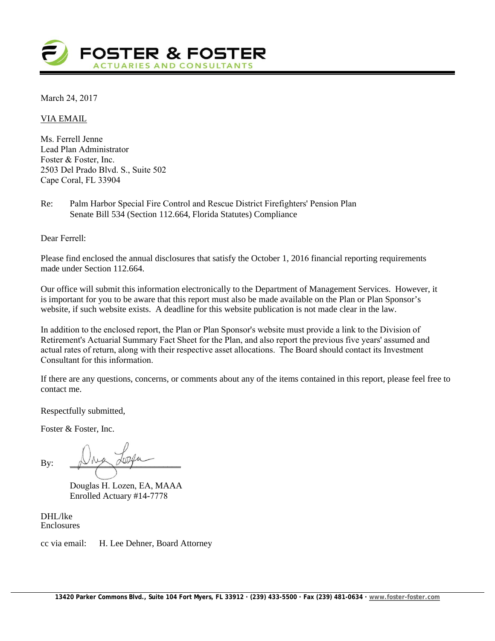

March 24, 2017

VIA EMAIL

Ms. Ferrell Jenne Lead Plan Administrator Foster & Foster, Inc. 2503 Del Prado Blvd. S., Suite 502 Cape Coral, FL 33904

Re: Palm Harbor Special Fire Control and Rescue District Firefighters' Pension Plan Senate Bill 534 (Section 112.664, Florida Statutes) Compliance

Dear Ferrell:

Please find enclosed the annual disclosures that satisfy the October 1, 2016 financial reporting requirements made under Section 112.664.

Our office will submit this information electronically to the Department of Management Services. However, it is important for you to be aware that this report must also be made available on the Plan or Plan Sponsor's website, if such website exists. A deadline for this website publication is not made clear in the law.

In addition to the enclosed report, the Plan or Plan Sponsor's website must provide a link to the Division of Retirement's Actuarial Summary Fact Sheet for the Plan, and also report the previous five years' assumed and actual rates of return, along with their respective asset allocations. The Board should contact its Investment Consultant for this information.

If there are any questions, concerns, or comments about any of the items contained in this report, please feel free to contact me.

Respectfully submitted,

Foster & Foster, Inc.

By:  $\mathbb{D}^{\text{max}}$ 

Douglas H. Lozen, EA, MAAA Enrolled Actuary #14-7778

DHL/lke Enclosures

cc via email: H. Lee Dehner, Board Attorney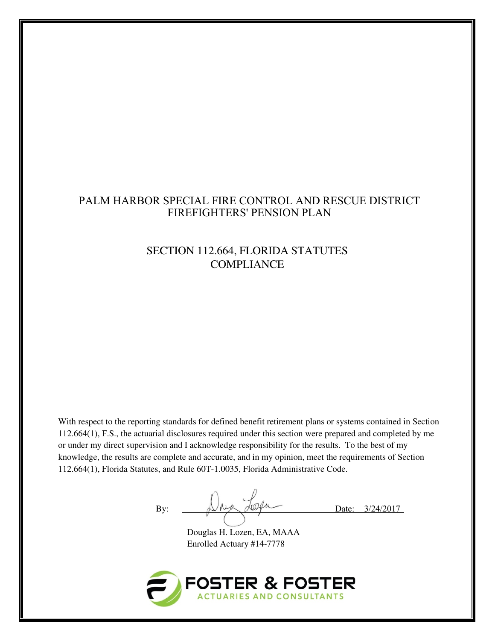## PALM HARBOR SPECIAL FIRE CONTROL AND RESCUE DISTRICT FIREFIGHTERS' PENSION PLAN

# SECTION 112.664, FLORIDA STATUTES **COMPLIANCE**

With respect to the reporting standards for defined benefit retirement plans or systems contained in Section 112.664(1), F.S., the actuarial disclosures required under this section were prepared and completed by me or under my direct supervision and I acknowledge responsibility for the results. To the best of my knowledge, the results are complete and accurate, and in my opinion, meet the requirements of Section 112.664(1), Florida Statutes, and Rule 60T-1.0035, Florida Administrative Code.

By:  $\bigcup_{\substack{\lambda \in \mathcal{A} \\ \text{odd}}} \bigcup_{\substack{\lambda \in \mathcal{A} \\ \text{odd}}} \bigcup_{\substack{\lambda \in \mathcal{A} \\ \text{odd}}} \bigcup_{\substack{\lambda \in \mathcal{A} \\ \text{odd}}} \bigcup_{\substack{\lambda \in \mathcal{A} \\ \text{odd}}} \bigcup_{\substack{\lambda \in \mathcal{A} \\ \text{odd}}} \bigcup_{\substack{\lambda \in \mathcal{A} \\ \text{odd}}} \bigcup_{\substack{\lambda \in \mathcal{A} \\ \text{odd}}} \bigcup_{\substack{\lambda \in \mathcal{A} \\ \text{odd}}} \bigcup_{\substack{\lambda$ 

 Douglas H. Lozen, EA, MAAA Enrolled Actuary #14-7778

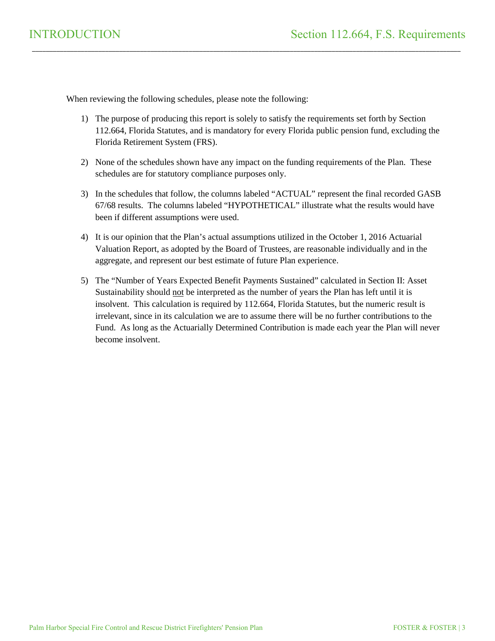When reviewing the following schedules, please note the following:

1) The purpose of producing this report is solely to satisfy the requirements set forth by Section 112.664, Florida Statutes, and is mandatory for every Florida public pension fund, excluding the Florida Retirement System (FRS).

\_\_\_\_\_\_\_\_\_\_\_\_\_\_\_\_\_\_\_\_\_\_\_\_\_\_\_\_\_\_\_\_\_\_\_\_\_\_\_\_\_\_\_\_\_\_\_\_\_\_\_\_\_\_\_\_\_\_\_\_\_\_\_\_\_\_\_\_\_\_\_\_\_\_\_\_\_\_\_\_\_\_\_\_\_\_\_\_\_\_\_\_\_\_\_\_\_\_\_\_\_\_\_\_\_\_\_\_\_\_\_\_\_\_\_\_\_\_\_\_\_\_\_

- 2) None of the schedules shown have any impact on the funding requirements of the Plan. These schedules are for statutory compliance purposes only.
- 3) In the schedules that follow, the columns labeled "ACTUAL" represent the final recorded GASB 67/68 results. The columns labeled "HYPOTHETICAL" illustrate what the results would have been if different assumptions were used.
- 4) It is our opinion that the Plan's actual assumptions utilized in the October 1, 2016 Actuarial Valuation Report, as adopted by the Board of Trustees, are reasonable individually and in the aggregate, and represent our best estimate of future Plan experience.
- 5) The "Number of Years Expected Benefit Payments Sustained" calculated in Section II: Asset Sustainability should not be interpreted as the number of years the Plan has left until it is insolvent. This calculation is required by 112.664, Florida Statutes, but the numeric result is irrelevant, since in its calculation we are to assume there will be no further contributions to the Fund. As long as the Actuarially Determined Contribution is made each year the Plan will never become insolvent.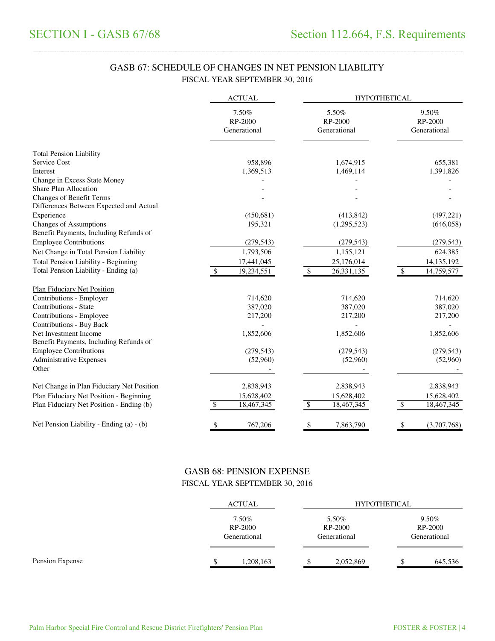## GASB 67: SCHEDULE OF CHANGES IN NET PENSION LIABILITY FISCAL YEAR SEPTEMBER 30, 2016

\_\_\_\_\_\_\_\_\_\_\_\_\_\_\_\_\_\_\_\_\_\_\_\_\_\_\_\_\_\_\_\_\_\_\_\_\_\_\_\_\_\_\_\_\_\_\_\_\_\_\_\_\_\_\_\_\_\_\_\_\_\_\_\_\_\_\_\_\_\_\_\_\_\_\_\_\_\_\_\_\_\_\_\_\_\_\_\_\_\_\_\_\_\_\_\_\_\_\_\_\_\_\_\_\_\_\_\_\_\_\_\_\_\_\_\_\_\_\_\_\_\_\_\_\_\_\_\_\_\_\_\_\_

|                                                                            | <b>ACTUAL</b>                    | <b>HYPOTHETICAL</b>              |                                  |  |  |
|----------------------------------------------------------------------------|----------------------------------|----------------------------------|----------------------------------|--|--|
|                                                                            | 7.50%<br>RP-2000<br>Generational | 5.50%<br>RP-2000<br>Generational | 9.50%<br>RP-2000<br>Generational |  |  |
| <b>Total Pension Liability</b>                                             |                                  |                                  |                                  |  |  |
| Service Cost                                                               | 958,896                          | 1,674,915                        | 655,381                          |  |  |
| Interest                                                                   | 1,369,513                        | 1,469,114                        | 1,391,826                        |  |  |
| Change in Excess State Money                                               |                                  |                                  |                                  |  |  |
| Share Plan Allocation                                                      |                                  |                                  |                                  |  |  |
| <b>Changes of Benefit Terms</b><br>Differences Between Expected and Actual |                                  |                                  |                                  |  |  |
| Experience                                                                 | (450,681)                        | (413, 842)                       | (497, 221)                       |  |  |
| Changes of Assumptions<br>Benefit Payments, Including Refunds of           | 195,321                          | (1,295,523)                      | (646,058)                        |  |  |
| <b>Employee Contributions</b>                                              | (279, 543)                       | (279, 543)                       | (279, 543)                       |  |  |
| Net Change in Total Pension Liability                                      | 1,793,506                        | 1,155,121                        | 624,385                          |  |  |
| <b>Total Pension Liability - Beginning</b>                                 | 17,441,045                       | 25,176,014                       | 14, 135, 192                     |  |  |
| Total Pension Liability - Ending (a)                                       | 19,234,551<br>$\mathcal{S}$      | \$<br>26,331,135                 | \$<br>14,759,577                 |  |  |
| <b>Plan Fiduciary Net Position</b>                                         |                                  |                                  |                                  |  |  |
| Contributions - Employer                                                   | 714,620                          | 714,620                          | 714,620                          |  |  |
| Contributions - State                                                      | 387,020                          | 387,020                          | 387,020                          |  |  |
| Contributions - Employee                                                   | 217,200                          | 217,200                          | 217,200                          |  |  |
| Contributions - Buy Back                                                   |                                  |                                  |                                  |  |  |
| Net Investment Income<br>Benefit Payments, Including Refunds of            | 1,852,606                        | 1,852,606                        | 1,852,606                        |  |  |
| <b>Employee Contributions</b>                                              | (279, 543)                       | (279, 543)                       | (279, 543)                       |  |  |
| <b>Administrative Expenses</b>                                             | (52,960)                         | (52,960)                         | (52,960)                         |  |  |
| Other                                                                      |                                  |                                  |                                  |  |  |
| Net Change in Plan Fiduciary Net Position                                  | 2,838,943                        | 2,838,943                        | 2,838,943                        |  |  |
| Plan Fiduciary Net Position - Beginning                                    | 15,628,402                       | 15,628,402                       | 15,628,402                       |  |  |
| Plan Fiduciary Net Position - Ending (b)                                   | 18,467,345<br>\$                 | 18,467,345<br>\$                 | 18,467,345<br>\$                 |  |  |
| Net Pension Liability - Ending (a) - (b)                                   | \$<br>767,206                    | \$<br>7,863,790                  | (3,707,768)<br>\$                |  |  |

#### GASB 68: PENSION EXPENSE FISCAL YEAR SEPTEMBER 30, 2016

|                 | ACTUAL |                                  | <b>HYPOTHETICAL</b> |                                  |  |  |                                     |
|-----------------|--------|----------------------------------|---------------------|----------------------------------|--|--|-------------------------------------|
|                 |        | 7.50%<br>RP-2000<br>Generational |                     | 5.50%<br>RP-2000<br>Generational |  |  | $9.50\%$<br>RP-2000<br>Generational |
| Pension Expense |        | 1,208,163                        |                     | 2,052,869                        |  |  | 645,536                             |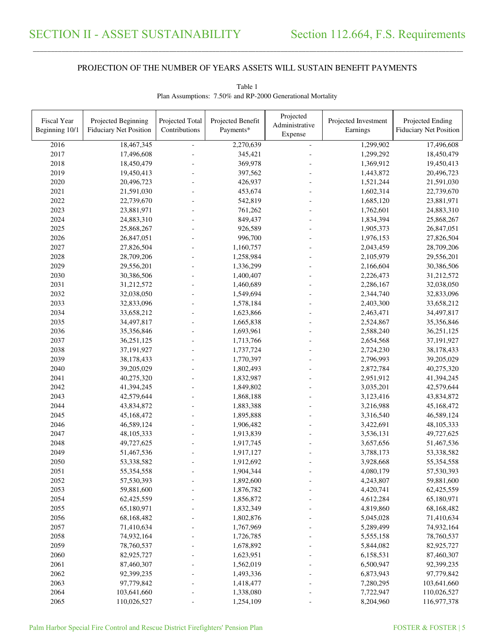\_\_\_\_\_\_\_\_\_\_\_\_\_\_\_\_\_\_\_\_\_\_\_\_\_\_\_\_\_\_\_\_\_\_\_\_\_\_\_\_\_\_\_\_\_\_\_\_\_\_\_\_\_\_\_\_\_\_\_\_\_\_\_\_\_\_\_\_\_\_\_\_\_\_\_\_\_\_\_\_\_\_\_\_\_\_\_\_\_\_\_\_\_\_\_\_\_\_\_\_\_\_\_\_\_\_\_\_\_\_\_\_\_\_\_\_\_\_\_\_\_\_\_\_\_\_\_\_\_\_\_\_\_\_\_\_\_\_\_\_\_\_\_\_\_\_\_\_\_\_

| Fiscal Year<br>Beginning 10/1 | Projected Beginning<br><b>Fiduciary Net Position</b> | Projected Total<br>Contributions | Projected Benefit<br>Payments* | Projected<br>Administrative | Projected Investment<br>Earnings | Projected Ending<br><b>Fiduciary Net Position</b> |
|-------------------------------|------------------------------------------------------|----------------------------------|--------------------------------|-----------------------------|----------------------------------|---------------------------------------------------|
|                               |                                                      |                                  |                                | Expense                     |                                  |                                                   |
| 2016                          | 18,467,345                                           |                                  | 2,270,639                      | $\blacksquare$              | 1,299,902                        | 17,496,608                                        |
| 2017                          | 17,496,608                                           |                                  | 345,421                        |                             | 1,299,292                        | 18,450,479                                        |
| 2018                          | 18,450,479                                           |                                  | 369,978                        |                             | 1,369,912                        | 19,450,413                                        |
| 2019                          | 19,450,413                                           |                                  | 397,562                        |                             | 1,443,872                        | 20,496,723                                        |
| 2020                          | 20,496,723                                           |                                  | 426,937                        |                             | 1,521,244                        | 21,591,030                                        |
| 2021                          | 21,591,030                                           |                                  | 453,674                        |                             | 1,602,314                        | 22,739,670                                        |
| 2022                          | 22,739,670                                           |                                  | 542,819                        |                             | 1,685,120                        | 23,881,971                                        |
| 2023                          | 23,881,971                                           |                                  | 761,262                        |                             | 1,762,601                        | 24,883,310                                        |
| 2024                          | 24,883,310                                           |                                  | 849,437                        |                             | 1,834,394                        | 25,868,267                                        |
| 2025                          | 25,868,267                                           |                                  | 926,589                        |                             | 1,905,373                        | 26,847,051                                        |
| 2026                          | 26,847,051                                           |                                  | 996,700                        |                             | 1,976,153                        | 27,826,504                                        |
| 2027                          | 27,826,504                                           |                                  | 1,160,757                      |                             | 2,043,459                        | 28,709,206                                        |
| 2028                          | 28,709,206                                           |                                  | 1,258,984                      |                             | 2,105,979                        | 29,556,201                                        |
| 2029                          | 29,556,201                                           |                                  | 1,336,299                      |                             | 2,166,604                        | 30,386,506                                        |
| 2030                          | 30,386,506                                           |                                  | 1,400,407                      |                             | 2,226,473                        | 31,212,572                                        |
| 2031                          | 31,212,572                                           |                                  | 1,460,689                      |                             | 2,286,167                        | 32,038,050                                        |
| 2032                          | 32,038,050                                           |                                  | 1,549,694                      |                             | 2,344,740                        | 32,833,096                                        |
| 2033                          | 32,833,096                                           |                                  | 1,578,184                      |                             | 2,403,300                        | 33,658,212                                        |
| 2034                          | 33,658,212                                           |                                  | 1,623,866                      |                             | 2,463,471                        | 34,497,817                                        |
| 2035                          | 34,497,817                                           |                                  | 1,665,838                      |                             | 2,524,867                        | 35,356,846                                        |
| 2036                          | 35,356,846                                           |                                  | 1,693,961                      |                             | 2,588,240                        | 36,251,125                                        |
| 2037                          | 36,251,125                                           |                                  | 1,713,766                      |                             | 2,654,568                        | 37,191,927                                        |
| 2038                          | 37,191,927                                           |                                  | 1,737,724                      |                             | 2,724,230                        | 38,178,433                                        |
| 2039                          | 38,178,433                                           |                                  | 1,770,397                      |                             | 2,796,993                        | 39,205,029                                        |
| 2040                          | 39,205,029                                           |                                  | 1,802,493                      |                             | 2,872,784                        | 40,275,320                                        |
| 2041                          | 40,275,320                                           |                                  | 1,832,987                      |                             | 2,951,912                        | 41,394,245                                        |
| 2042                          | 41,394,245                                           |                                  | 1,849,802                      |                             | 3,035,201                        | 42,579,644                                        |
| 2043                          | 42,579,644                                           |                                  | 1,868,188                      |                             | 3,123,416                        | 43,834,872                                        |
| 2044                          | 43,834,872                                           |                                  | 1,883,388                      |                             | 3,216,988                        | 45,168,472                                        |
| 2045                          | 45,168,472                                           |                                  | 1,895,888                      |                             | 3,316,540                        | 46,589,124                                        |
| 2046                          | 46,589,124                                           |                                  | 1,906,482                      |                             | 3,422,691                        | 48,105,333                                        |
| 2047                          | 48,105,333                                           |                                  | 1,913,839                      |                             | 3,536,131                        | 49,727,625                                        |
| 2048                          | 49,727,625                                           |                                  | 1,917,745                      |                             | 3,657,656                        | 51,467,536                                        |
| 2049                          | 51,467,536                                           |                                  | 1,917,127                      |                             | 3,788,173                        | 53,338,582                                        |
| 2050                          | 53,338,582                                           |                                  | 1,912,692                      |                             | 3,928,668                        | 55,354,558                                        |
| 2051                          | 55,354,558                                           |                                  | 1,904,344                      |                             | 4,080,179                        | 57,530,393                                        |
| 2052                          | 57,530,393                                           |                                  | 1,892,600                      |                             | 4,243,807                        | 59,881,600                                        |
| 2053                          | 59,881,600                                           |                                  | 1,876,782                      |                             | 4,420,741                        | 62,425,559                                        |
| 2054                          | 62,425,559                                           |                                  | 1,856,872                      |                             | 4,612,284                        | 65,180,971                                        |
| 2055                          | 65,180,971                                           |                                  | 1,832,349                      |                             | 4,819,860                        | 68,168,482                                        |
| 2056                          | 68,168,482                                           |                                  | 1,802,876                      |                             | 5,045,028                        | 71,410,634                                        |
| 2057                          | 71,410,634                                           |                                  | 1,767,969                      |                             | 5,289,499                        | 74,932,164                                        |
| 2058                          | 74,932,164                                           |                                  | 1,726,785                      |                             | 5,555,158                        | 78,760,537                                        |
| 2059                          | 78,760,537                                           |                                  | 1,678,892                      |                             | 5,844,082                        | 82,925,727                                        |
| 2060                          | 82,925,727                                           |                                  | 1,623,951                      |                             | 6,158,531                        | 87,460,307                                        |
| 2061                          | 87,460,307                                           |                                  | 1,562,019                      |                             | 6,500,947                        | 92,399,235                                        |
| 2062                          | 92,399,235                                           |                                  | 1,493,336                      |                             | 6,873,943                        | 97,779,842                                        |
| 2063                          | 97,779,842                                           |                                  | 1,418,477                      |                             | 7,280,295                        | 103,641,660                                       |
| 2064                          | 103,641,660                                          |                                  | 1,338,080                      |                             | 7,722,947                        | 110,026,527                                       |
| 2065                          | 110,026,527                                          |                                  | 1,254,109                      |                             | 8,204,960                        | 116,977,378                                       |

Table 1 Plan Assumptions: 7.50% and RP-2000 Generational Mortality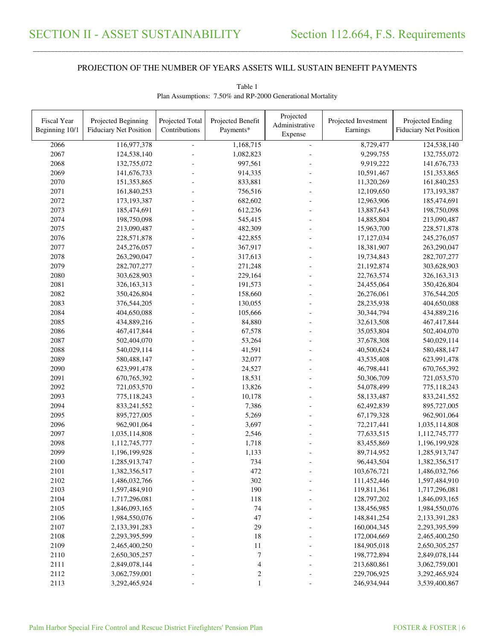\_\_\_\_\_\_\_\_\_\_\_\_\_\_\_\_\_\_\_\_\_\_\_\_\_\_\_\_\_\_\_\_\_\_\_\_\_\_\_\_\_\_\_\_\_\_\_\_\_\_\_\_\_\_\_\_\_\_\_\_\_\_\_\_\_\_\_\_\_\_\_\_\_\_\_\_\_\_\_\_\_\_\_\_\_\_\_\_\_\_\_\_\_\_\_\_\_\_\_\_\_\_\_\_\_\_\_\_\_\_\_\_\_\_\_\_\_\_\_\_\_\_\_\_\_\_\_\_\_\_\_\_\_\_\_\_\_\_\_\_\_\_\_\_\_\_\_\_\_\_

| Fiscal Year<br>Beginning 10/1 | Projected Beginning<br><b>Fiduciary Net Position</b> | Projected Total<br>Contributions | Projected Benefit<br>Payments* | Projected<br>Administrative | Projected Investment<br>Earnings | Projected Ending<br><b>Fiduciary Net Position</b> |
|-------------------------------|------------------------------------------------------|----------------------------------|--------------------------------|-----------------------------|----------------------------------|---------------------------------------------------|
|                               |                                                      |                                  |                                | Expense                     |                                  |                                                   |
| 2066                          | 116,977,378                                          |                                  | 1,168,715                      | ÷,                          | 8,729,477                        | 124,538,140                                       |
| 2067                          | 124,538,140                                          |                                  | 1,082,823                      |                             | 9,299,755                        | 132,755,072                                       |
| 2068                          | 132,755,072                                          |                                  | 997,561                        |                             | 9,919,222                        | 141,676,733                                       |
| 2069                          | 141,676,733                                          |                                  | 914,335                        |                             | 10,591,467                       | 151,353,865                                       |
| 2070                          | 151,353,865                                          |                                  | 833,881                        |                             | 11,320,269                       | 161,840,253                                       |
| 2071                          | 161,840,253                                          |                                  | 756,516                        |                             | 12,109,650                       | 173, 193, 387                                     |
| 2072                          | 173, 193, 387                                        |                                  | 682,602                        |                             | 12,963,906                       | 185,474,691                                       |
| 2073                          | 185,474,691                                          |                                  | 612,236                        |                             | 13,887,643                       | 198,750,098                                       |
| 2074                          | 198,750,098                                          |                                  | 545,415                        |                             | 14,885,804                       | 213,090,487                                       |
| 2075                          | 213,090,487                                          |                                  | 482,309                        |                             | 15,963,700                       | 228,571,878                                       |
| 2076                          | 228,571,878                                          |                                  | 422,855                        |                             | 17,127,034                       | 245,276,057                                       |
| 2077                          | 245,276,057                                          |                                  | 367,917                        |                             | 18,381,907                       | 263,290,047                                       |
| 2078                          | 263,290,047                                          |                                  | 317,613                        |                             | 19,734,843                       | 282,707,277                                       |
| 2079                          | 282,707,277                                          |                                  | 271,248                        |                             | 21,192,874                       | 303,628,903                                       |
| 2080                          | 303,628,903                                          |                                  | 229,164                        |                             | 22,763,574                       | 326,163,313                                       |
| 2081                          | 326,163,313                                          |                                  | 191,573                        |                             | 24,455,064                       | 350,426,804                                       |
| 2082                          | 350,426,804                                          |                                  | 158,660                        |                             | 26,276,061                       | 376,544,205                                       |
| 2083                          | 376,544,205                                          |                                  | 130,055                        |                             | 28,235,938                       | 404,650,088                                       |
| 2084                          | 404,650,088                                          |                                  | 105,666                        |                             | 30,344,794                       | 434,889,216                                       |
| 2085                          | 434,889,216                                          |                                  | 84,880                         |                             | 32,613,508                       | 467,417,844                                       |
| 2086                          | 467,417,844                                          |                                  | 67,578                         |                             | 35,053,804                       | 502,404,070                                       |
| 2087                          | 502,404,070                                          |                                  | 53,264                         |                             | 37,678,308                       | 540,029,114                                       |
| 2088                          | 540,029,114                                          |                                  | 41,591                         |                             | 40,500,624                       | 580,488,147                                       |
| 2089                          | 580,488,147                                          |                                  | 32,077                         |                             | 43,535,408                       | 623,991,478                                       |
| 2090                          | 623,991,478                                          |                                  | 24,527                         |                             | 46,798,441                       | 670,765,392                                       |
| 2091                          | 670,765,392                                          |                                  | 18,531                         |                             | 50,306,709                       | 721,053,570                                       |
| 2092                          | 721,053,570                                          |                                  | 13,826                         |                             | 54,078,499                       | 775,118,243                                       |
| 2093                          | 775,118,243                                          |                                  | 10,178                         |                             | 58,133,487                       | 833,241,552                                       |
| 2094                          | 833,241,552                                          |                                  | 7,386                          |                             | 62,492,839                       | 895,727,005                                       |
| 2095                          | 895,727,005                                          |                                  | 5,269                          |                             | 67,179,328                       | 962,901,064                                       |
| 2096                          | 962,901,064                                          |                                  | 3,697                          |                             | 72,217,441                       | 1,035,114,808                                     |
| 2097                          | 1,035,114,808                                        |                                  | 2,546                          |                             | 77,633,515                       | 1,112,745,777                                     |
| 2098                          | 1,112,745,777                                        |                                  | 1,718                          |                             | 83,455,869                       | 1,196,199,928                                     |
| 2099                          | 1,196,199,928                                        |                                  | 1,133                          |                             | 89,714,952                       | 1,285,913,747                                     |
| 2100                          | 1,285,913,747                                        |                                  | 734                            |                             | 96,443,504                       | 1,382,356,517                                     |
| 2101                          | 1,382,356,517                                        |                                  | 472                            |                             | 103,676,721                      | 1,486,032,766                                     |
| 2102                          | 1,486,032,766                                        |                                  | 302                            |                             | 111,452,446                      | 1,597,484,910                                     |
| 2103                          | 1,597,484,910                                        |                                  | 190                            |                             | 119,811,361                      | 1,717,296,081                                     |
| 2104                          | 1,717,296,081                                        |                                  | 118                            |                             | 128,797,202                      | 1,846,093,165                                     |
| 2105                          | 1,846,093,165                                        |                                  | 74                             |                             | 138,456,985                      | 1,984,550,076                                     |
| 2106                          | 1,984,550,076                                        |                                  | 47                             |                             | 148,841,254                      | 2,133,391,283                                     |
| 2107                          | 2,133,391,283                                        |                                  | 29                             |                             | 160,004,345                      | 2,293,395,599                                     |
| 2108                          | 2,293,395,599                                        |                                  | 18                             |                             | 172,004,669                      | 2,465,400,250                                     |
| 2109                          | 2,465,400,250                                        |                                  | 11                             |                             | 184,905,018                      | 2,650,305,257                                     |
| 2110                          | 2,650,305,257                                        |                                  | 7                              |                             | 198,772,894                      | 2,849,078,144                                     |
| 2111                          | 2,849,078,144                                        |                                  | 4                              |                             | 213,680,861                      | 3,062,759,001                                     |
| 2112                          | 3,062,759,001                                        |                                  | 2                              |                             | 229,706,925                      | 3,292,465,924                                     |
| 2113                          | 3,292,465,924                                        |                                  |                                |                             | 246,934,944                      | 3,539,400,867                                     |

Table 1 Plan Assumptions: 7.50% and RP-2000 Generational Mortality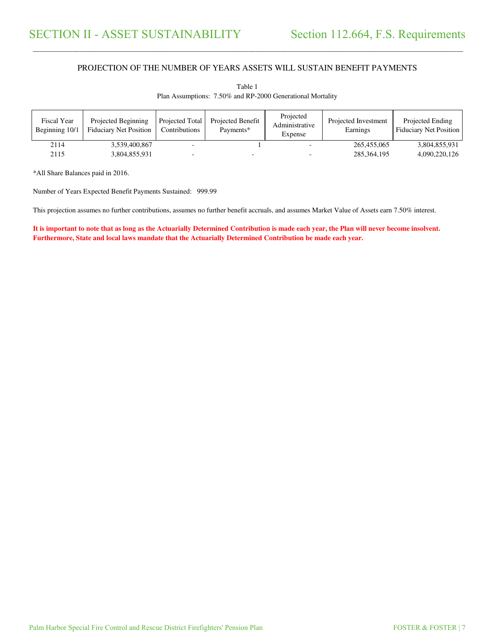\_\_\_\_\_\_\_\_\_\_\_\_\_\_\_\_\_\_\_\_\_\_\_\_\_\_\_\_\_\_\_\_\_\_\_\_\_\_\_\_\_\_\_\_\_\_\_\_\_\_\_\_\_\_\_\_\_\_\_\_\_\_\_\_\_\_\_\_\_\_\_\_\_\_\_\_\_\_\_\_\_\_\_\_\_\_\_\_\_\_\_\_\_\_\_\_\_\_\_\_\_\_\_\_\_\_\_\_\_\_\_\_\_\_\_\_\_\_\_\_\_\_\_\_\_\_\_\_\_\_\_\_\_\_\_\_\_\_\_\_\_\_\_\_\_\_\_\_\_\_

| Fiscal Year<br>Beginning 10/1 | Projected Beginning<br><b>Fiduciary Net Position</b> | Projected Total<br>Contributions | Projected Benefit<br>Payments* | Projected<br>Administrative<br>Expense | Projected Investment<br>Earnings | Projected Ending<br><b>Fiduciary Net Position</b> |
|-------------------------------|------------------------------------------------------|----------------------------------|--------------------------------|----------------------------------------|----------------------------------|---------------------------------------------------|
| 2114                          | 3.539.400.867                                        |                                  |                                |                                        | 265,455,065                      | 3,804,855,931                                     |
| 2115                          | 3,804,855,931                                        |                                  | $\overline{\phantom{0}}$       |                                        | 285, 364, 195                    | 4,090,220,126                                     |

Table 1 Plan Assumptions: 7.50% and RP-2000 Generational Mortality

\*All Share Balances paid in 2016.

Number of Years Expected Benefit Payments Sustained: 999.99

This projection assumes no further contributions, assumes no further benefit accruals, and assumes Market Value of Assets earn 7.50% interest.

**It is important to note that as long as the Actuarially Determined Contribution is made each year, the Plan will never become insolvent. Furthermore, State and local laws mandate that the Actuarially Determined Contribution be made each year.**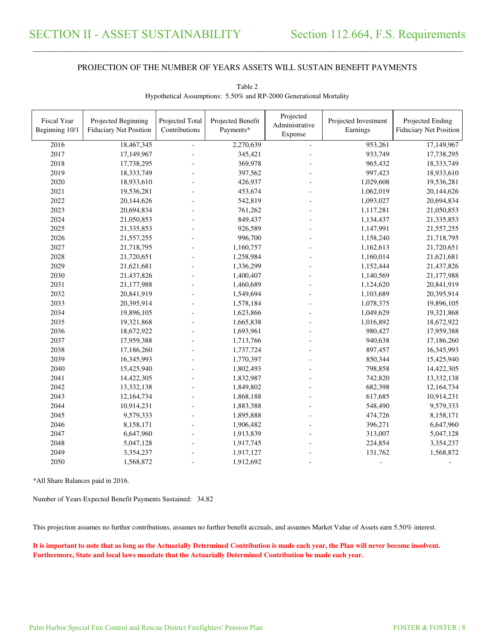\_\_\_\_\_\_\_\_\_\_\_\_\_\_\_\_\_\_\_\_\_\_\_\_\_\_\_\_\_\_\_\_\_\_\_\_\_\_\_\_\_\_\_\_\_\_\_\_\_\_\_\_\_\_\_\_\_\_\_\_\_\_\_\_\_\_\_\_\_\_\_\_\_\_\_\_\_\_\_\_\_\_\_\_\_\_\_\_\_\_\_\_\_\_\_\_\_\_\_\_\_\_\_\_\_\_\_\_\_\_\_\_\_\_\_\_\_\_\_\_\_\_\_\_\_\_\_\_\_\_\_\_\_\_\_\_\_\_\_\_\_\_\_\_\_\_\_\_\_\_

| <b>Fiscal Year</b><br>Beginning 10/1 | Projected Beginning<br><b>Fiduciary Net Position</b> | Projected Total<br>Contributions | Projected Benefit<br>Payments* | Projected<br>Administrative<br>Expense | Projected Investment<br>Earnings | Projected Ending<br><b>Fiduciary Net Position</b> |
|--------------------------------------|------------------------------------------------------|----------------------------------|--------------------------------|----------------------------------------|----------------------------------|---------------------------------------------------|
| 2016                                 | 18,467,345                                           |                                  | 2,270,639                      | $\equiv$                               | 953,261                          | 17,149,967                                        |
| 2017                                 | 17,149,967                                           |                                  | 345,421                        |                                        | 933,749                          | 17,738,295                                        |
| 2018                                 | 17,738,295                                           |                                  | 369,978                        |                                        | 965,432                          | 18,333,749                                        |
| 2019                                 | 18,333,749                                           |                                  | 397,562                        |                                        | 997,423                          | 18,933,610                                        |
| 2020                                 | 18,933,610                                           |                                  | 426,937                        |                                        | 1,029,608                        | 19,536,281                                        |
| 2021                                 | 19,536,281                                           |                                  | 453,674                        |                                        | 1,062,019                        | 20,144,626                                        |
| 2022                                 | 20,144,626                                           |                                  | 542,819                        |                                        | 1,093,027                        | 20,694,834                                        |
| 2023                                 | 20,694,834                                           |                                  | 761,262                        |                                        | 1,117,281                        | 21,050,853                                        |
| 2024                                 | 21,050,853                                           |                                  | 849,437                        |                                        | 1,134,437                        | 21,335,853                                        |
| 2025                                 | 21,335,853                                           |                                  | 926,589                        |                                        | 1,147,991                        | 21,557,255                                        |
| 2026                                 | 21,557,255                                           |                                  | 996,700                        |                                        | 1,158,240                        | 21,718,795                                        |
| 2027                                 | 21,718,795                                           |                                  | 1,160,757                      |                                        | 1,162,613                        | 21,720,651                                        |
| 2028                                 | 21,720,651                                           |                                  | 1,258,984                      |                                        | 1,160,014                        | 21,621,681                                        |
| 2029                                 | 21,621,681                                           |                                  | 1,336,299                      |                                        | 1,152,444                        | 21,437,826                                        |
| 2030                                 | 21,437,826                                           |                                  | 1,400,407                      |                                        | 1,140,569                        | 21,177,988                                        |
| 2031                                 | 21,177,988                                           |                                  | 1,460,689                      |                                        | 1,124,620                        | 20,841,919                                        |
| 2032                                 | 20,841,919                                           |                                  | 1,549,694                      |                                        | 1,103,689                        | 20,395,914                                        |
| 2033                                 | 20,395,914                                           |                                  | 1,578,184                      |                                        | 1,078,375                        | 19,896,105                                        |
| 2034                                 | 19,896,105                                           |                                  | 1,623,866                      |                                        | 1,049,629                        | 19,321,868                                        |
| 2035                                 | 19,321,868                                           |                                  | 1,665,838                      |                                        | 1,016,892                        | 18,672,922                                        |
| 2036                                 | 18,672,922                                           |                                  | 1,693,961                      |                                        | 980,427                          | 17,959,388                                        |
| 2037                                 | 17,959,388                                           |                                  | 1,713,766                      |                                        | 940,638                          | 17,186,260                                        |
| 2038                                 | 17,186,260                                           | L.                               | 1,737,724                      |                                        | 897,457                          | 16,345,993                                        |
| 2039                                 | 16,345,993                                           | ٠                                | 1,770,397                      |                                        | 850,344                          | 15,425,940                                        |
| 2040                                 | 15,425,940                                           |                                  | 1,802,493                      |                                        | 798,858                          | 14,422,305                                        |
| 2041                                 | 14,422,305                                           |                                  | 1,832,987                      |                                        | 742,820                          | 13,332,138                                        |
| 2042                                 | 13,332,138                                           |                                  | 1,849,802                      |                                        | 682,398                          | 12,164,734                                        |
| 2043                                 | 12,164,734                                           |                                  | 1,868,188                      |                                        | 617,685                          | 10,914,231                                        |
| 2044                                 | 10,914,231                                           |                                  | 1,883,388                      |                                        | 548,490                          | 9,579,333                                         |
| 2045                                 | 9,579,333                                            | ä,                               | 1,895,888                      |                                        | 474,726                          | 8,158,171                                         |
| 2046                                 | 8,158,171                                            |                                  | 1,906,482                      |                                        | 396,271                          | 6,647,960                                         |
| 2047                                 | 6,647,960                                            |                                  | 1,913,839                      |                                        | 313,007                          | 5,047,128                                         |
| 2048                                 | 5,047,128                                            |                                  | 1,917,745                      |                                        | 224,854                          | 3,354,237                                         |
| 2049                                 | 3,354,237                                            |                                  | 1,917,127                      |                                        | 131,762                          | 1,568,872                                         |
| 2050                                 | 1,568,872                                            |                                  | 1,912,692                      |                                        |                                  |                                                   |

Table 2 Hypothetical Assumptions: 5.50% and RP-2000 Generational Mortality

\*All Share Balances paid in 2016.

Number of Years Expected Benefit Payments Sustained: 34.82

This projection assumes no further contributions, assumes no further benefit accruals, and assumes Market Value of Assets earn 5.50% interest.

**It is important to note that as long as the Actuarially Determined Contribution is made each year, the Plan will never become insolvent. Furthermore, State and local laws mandate that the Actuarially Determined Contribution be made each year.**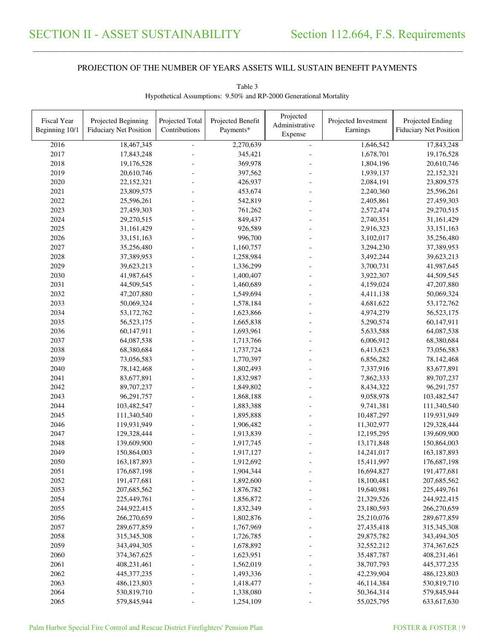\_\_\_\_\_\_\_\_\_\_\_\_\_\_\_\_\_\_\_\_\_\_\_\_\_\_\_\_\_\_\_\_\_\_\_\_\_\_\_\_\_\_\_\_\_\_\_\_\_\_\_\_\_\_\_\_\_\_\_\_\_\_\_\_\_\_\_\_\_\_\_\_\_\_\_\_\_\_\_\_\_\_\_\_\_\_\_\_\_\_\_\_\_\_\_\_\_\_\_\_\_\_\_\_\_\_\_\_\_\_\_\_\_\_\_\_\_\_\_\_\_\_\_\_\_\_\_\_\_\_\_\_\_\_\_\_\_\_\_\_\_\_\_\_\_\_\_\_\_\_

| Fiscal Year<br>Beginning 10/1 | Projected Beginning<br><b>Fiduciary Net Position</b> | Projected Total<br>Contributions | Projected Benefit<br>Payments* | Projected<br>Administrative | Projected Investment<br>Earnings | Projected Ending<br><b>Fiduciary Net Position</b> |
|-------------------------------|------------------------------------------------------|----------------------------------|--------------------------------|-----------------------------|----------------------------------|---------------------------------------------------|
|                               |                                                      |                                  |                                | Expense                     |                                  |                                                   |
| 2016                          | 18,467,345                                           |                                  | 2,270,639                      | $\overline{a}$              | 1,646,542                        | 17,843,248                                        |
| 2017                          | 17,843,248                                           |                                  | 345,421                        |                             | 1,678,701                        | 19,176,528                                        |
| 2018                          | 19,176,528                                           |                                  | 369,978                        |                             | 1,804,196                        | 20,610,746                                        |
| 2019                          | 20,610,746                                           |                                  | 397,562                        |                             | 1,939,137                        | 22,152,321                                        |
| 2020                          | 22,152,321                                           |                                  | 426,937                        |                             | 2,084,191                        | 23,809,575                                        |
| 2021                          | 23,809,575                                           |                                  | 453,674                        |                             | 2,240,360                        | 25,596,261                                        |
| 2022                          | 25,596,261                                           |                                  | 542,819                        |                             | 2,405,861                        | 27,459,303                                        |
| 2023                          | 27,459,303                                           |                                  | 761,262                        |                             | 2,572,474                        | 29,270,515                                        |
| 2024                          | 29,270,515                                           |                                  | 849,437                        |                             | 2,740,351                        | 31,161,429                                        |
| 2025                          | 31,161,429                                           |                                  | 926,589                        |                             | 2,916,323                        | 33,151,163                                        |
| 2026                          | 33,151,163                                           |                                  | 996,700                        |                             | 3,102,017                        | 35,256,480                                        |
| 2027                          | 35,256,480                                           |                                  | 1,160,757                      |                             | 3,294,230                        | 37,389,953                                        |
| 2028                          | 37,389,953                                           |                                  | 1,258,984                      |                             | 3,492,244                        | 39,623,213                                        |
| 2029                          | 39,623,213                                           |                                  | 1,336,299                      |                             | 3,700,731                        | 41,987,645                                        |
| 2030                          | 41,987,645                                           |                                  | 1,400,407                      |                             | 3,922,307                        | 44,509,545                                        |
| 2031                          | 44,509,545                                           |                                  | 1,460,689                      |                             | 4,159,024                        | 47,207,880                                        |
| 2032                          | 47,207,880                                           |                                  | 1,549,694                      |                             | 4,411,138                        | 50,069,324                                        |
| 2033                          | 50,069,324                                           |                                  | 1,578,184                      |                             | 4,681,622                        | 53, 172, 762                                      |
| 2034                          | 53,172,762                                           |                                  | 1,623,866                      |                             | 4,974,279                        | 56,523,175                                        |
| 2035                          | 56,523,175                                           |                                  | 1,665,838                      |                             | 5,290,574                        | 60,147,911                                        |
| 2036                          | 60,147,911                                           |                                  | 1,693,961                      |                             | 5,633,588                        | 64,087,538                                        |
| 2037                          | 64,087,538                                           |                                  | 1,713,766                      |                             | 6,006,912                        | 68,380,684                                        |
| 2038                          | 68,380,684                                           |                                  | 1,737,724                      |                             | 6,413,623                        | 73,056,583                                        |
| 2039                          | 73,056,583                                           |                                  | 1,770,397                      |                             | 6,856,282                        | 78,142,468                                        |
| 2040                          | 78,142,468                                           |                                  | 1,802,493                      |                             | 7,337,916                        | 83,677,891                                        |
| 2041                          | 83,677,891                                           |                                  | 1,832,987                      |                             | 7,862,333                        | 89,707,237                                        |
| 2042                          | 89,707,237                                           |                                  | 1,849,802                      |                             | 8,434,322                        | 96,291,757                                        |
| 2043                          | 96,291,757                                           |                                  | 1,868,188                      |                             | 9,058,978                        | 103,482,547                                       |
| 2044                          | 103,482,547                                          |                                  | 1,883,388                      |                             | 9,741,381                        | 111,340,540                                       |
| 2045                          | 111,340,540                                          |                                  | 1,895,888                      |                             | 10,487,297                       | 119,931,949                                       |
| 2046                          | 119,931,949                                          |                                  | 1,906,482                      |                             | 11,302,977                       | 129,328,444                                       |
| 2047                          | 129,328,444                                          |                                  | 1,913,839                      |                             | 12,195,295                       | 139,609,900                                       |
| 2048                          | 139,609,900                                          |                                  | 1,917,745                      |                             | 13,171,848                       | 150,864,003                                       |
| 2049                          | 150,864,003                                          |                                  | 1,917,127                      |                             | 14,241,017                       | 163, 187, 893                                     |
| 2050                          | 163, 187, 893                                        |                                  | 1,912,692                      |                             | 15,411,997                       | 176,687,198                                       |
| 2051                          | 176,687,198                                          |                                  | 1,904,344                      |                             | 16,694,827                       | 191,477,681                                       |
| 2052                          | 191,477,681                                          |                                  | 1,892,600                      |                             | 18,100,481                       | 207,685,562                                       |
| 2053                          | 207,685,562                                          |                                  | 1,876,782                      |                             | 19,640,981                       | 225,449,761                                       |
| 2054                          | 225,449,761                                          |                                  | 1,856,872                      |                             | 21,329,526                       | 244,922,415                                       |
| 2055                          | 244,922,415                                          |                                  | 1,832,349                      |                             | 23,180,593                       | 266,270,659                                       |
| 2056                          | 266,270,659                                          |                                  | 1,802,876                      |                             | 25,210,076                       | 289,677,859                                       |
| 2057                          | 289,677,859                                          |                                  | 1,767,969                      |                             | 27,435,418                       | 315,345,308                                       |
| 2058                          | 315,345,308                                          |                                  | 1,726,785                      |                             | 29,875,782                       | 343,494,305                                       |
| 2059                          | 343,494,305                                          |                                  | 1,678,892                      |                             | 32,552,212                       | 374, 367, 625                                     |
| 2060                          | 374,367,625                                          |                                  | 1,623,951                      |                             | 35,487,787                       | 408,231,461                                       |
| 2061                          | 408,231,461                                          |                                  | 1,562,019                      |                             | 38,707,793                       | 445, 377, 235                                     |
| 2062                          | 445, 377, 235                                        |                                  | 1,493,336                      |                             | 42,239,904                       | 486,123,803                                       |
| 2063                          | 486,123,803                                          |                                  | 1,418,477                      |                             | 46,114,384                       | 530,819,710                                       |
| 2064                          | 530,819,710                                          |                                  | 1,338,080                      |                             | 50,364,314                       | 579,845,944                                       |
| 2065                          | 579,845,944                                          |                                  | 1,254,109                      |                             | 55,025,795                       | 633,617,630                                       |

Table 3 Hypothetical Assumptions: 9.50% and RP-2000 Generational Mortality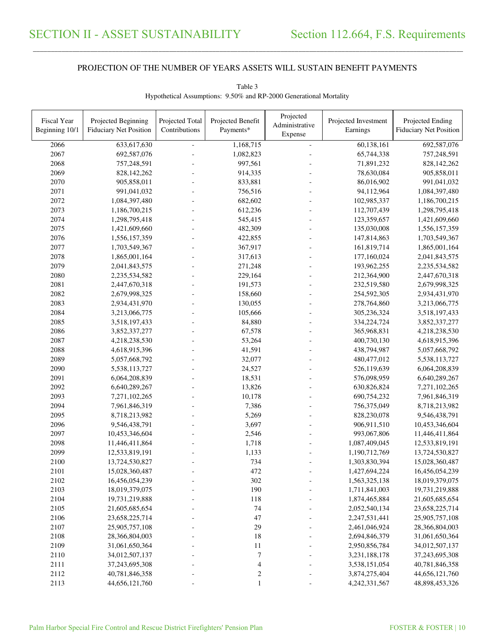\_\_\_\_\_\_\_\_\_\_\_\_\_\_\_\_\_\_\_\_\_\_\_\_\_\_\_\_\_\_\_\_\_\_\_\_\_\_\_\_\_\_\_\_\_\_\_\_\_\_\_\_\_\_\_\_\_\_\_\_\_\_\_\_\_\_\_\_\_\_\_\_\_\_\_\_\_\_\_\_\_\_\_\_\_\_\_\_\_\_\_\_\_\_\_\_\_\_\_\_\_\_\_\_\_\_\_\_\_\_\_\_\_\_\_\_\_\_\_\_\_\_\_\_\_\_\_\_\_\_\_\_\_\_\_\_\_\_\_\_\_\_\_\_\_\_\_\_\_\_

| Fiscal Year<br>Beginning 10/1 | Projected Beginning<br><b>Fiduciary Net Position</b> | Projected Total<br>Contributions | Projected Benefit<br>Payments* | Projected<br>Administrative | Projected Investment<br>Earnings | Projected Ending<br><b>Fiduciary Net Position</b> |
|-------------------------------|------------------------------------------------------|----------------------------------|--------------------------------|-----------------------------|----------------------------------|---------------------------------------------------|
|                               |                                                      |                                  |                                | Expense                     |                                  |                                                   |
| 2066                          | 633, 617, 630                                        |                                  | 1,168,715                      | L.                          | 60,138,161                       | 692,587,076                                       |
| 2067                          | 692,587,076                                          |                                  | 1,082,823                      |                             | 65,744,338                       | 757,248,591                                       |
| 2068                          | 757,248,591                                          |                                  | 997,561                        |                             | 71,891,232                       | 828,142,262                                       |
| 2069                          | 828,142,262                                          |                                  | 914,335                        |                             | 78,630,084                       | 905,858,011                                       |
| 2070                          | 905,858,011                                          |                                  | 833,881                        |                             | 86,016,902                       | 991,041,032                                       |
| 2071                          | 991,041,032                                          |                                  | 756,516                        |                             | 94,112,964                       | 1,084,397,480                                     |
| 2072                          | 1,084,397,480                                        |                                  | 682,602                        |                             | 102,985,337                      | 1,186,700,215                                     |
| 2073                          | 1,186,700,215                                        |                                  | 612,236                        |                             | 112,707,439                      | 1,298,795,418                                     |
| 2074                          | 1,298,795,418                                        |                                  | 545,415                        |                             | 123,359,657                      | 1,421,609,660                                     |
| 2075                          | 1,421,609,660                                        |                                  | 482,309                        |                             | 135,030,008                      | 1,556,157,359                                     |
| 2076                          | 1,556,157,359                                        |                                  | 422,855                        |                             | 147,814,863                      | 1,703,549,367                                     |
| 2077                          | 1,703,549,367                                        |                                  | 367,917                        |                             | 161,819,714                      | 1,865,001,164                                     |
| 2078                          | 1,865,001,164                                        |                                  | 317,613                        |                             | 177,160,024                      | 2,041,843,575                                     |
| 2079                          | 2,041,843,575                                        |                                  | 271,248                        |                             | 193,962,255                      | 2,235,534,582                                     |
| 2080                          | 2,235,534,582                                        |                                  | 229,164                        |                             | 212,364,900                      | 2,447,670,318                                     |
| 2081                          | 2,447,670,318                                        |                                  | 191,573                        |                             | 232,519,580                      | 2,679,998,325                                     |
| 2082                          | 2,679,998,325                                        |                                  | 158,660                        |                             | 254,592,305                      | 2,934,431,970                                     |
| 2083                          | 2,934,431,970                                        |                                  | 130,055                        |                             | 278,764,860                      | 3,213,066,775                                     |
| 2084                          | 3,213,066,775                                        |                                  | 105,666                        |                             | 305,236,324                      | 3,518,197,433                                     |
| 2085                          | 3,518,197,433                                        |                                  | 84,880                         |                             | 334,224,724                      | 3,852,337,277                                     |
| 2086                          | 3,852,337,277                                        |                                  | 67,578                         |                             | 365,968,831                      | 4,218,238,530                                     |
| 2087                          | 4,218,238,530                                        |                                  | 53,264                         |                             | 400,730,130                      | 4,618,915,396                                     |
| 2088                          | 4,618,915,396                                        |                                  | 41,591                         |                             | 438,794,987                      | 5,057,668,792                                     |
| 2089                          | 5,057,668,792                                        |                                  | 32,077                         |                             | 480, 477, 012                    | 5,538,113,727                                     |
| 2090                          | 5,538,113,727                                        |                                  | 24,527                         |                             | 526,119,639                      | 6,064,208,839                                     |
| 2091                          | 6,064,208,839                                        |                                  | 18,531                         |                             | 576,098,959                      | 6,640,289,267                                     |
| 2092                          | 6,640,289,267                                        |                                  | 13,826                         |                             | 630,826,824                      | 7,271,102,265                                     |
| 2093                          | 7,271,102,265                                        |                                  | 10,178                         |                             | 690,754,232                      | 7,961,846,319                                     |
| 2094                          | 7,961,846,319                                        |                                  | 7,386                          |                             | 756,375,049                      | 8,718,213,982                                     |
| 2095                          | 8,718,213,982                                        |                                  | 5,269                          |                             | 828,230,078                      | 9,546,438,791                                     |
| 2096                          | 9,546,438,791                                        |                                  | 3,697                          |                             | 906,911,510                      | 10,453,346,604                                    |
| 2097                          | 10,453,346,604                                       |                                  | 2,546                          |                             | 993,067,806                      | 11,446,411,864                                    |
| 2098                          | 11,446,411,864                                       |                                  | 1,718                          |                             | 1,087,409,045                    | 12,533,819,191                                    |
| 2099                          | 12,533,819,191                                       |                                  | 1,133                          |                             | 1,190,712,769                    | 13,724,530,827                                    |
| 2100                          | 13,724,530,827                                       |                                  | 734                            |                             | 1,303,830,394                    | 15,028,360,487                                    |
| 2101                          | 15,028,360,487                                       |                                  | 472                            |                             | 1,427,694,224                    | 16,456,054,239                                    |
| 2102                          | 16,456,054,239                                       |                                  | 302                            |                             | 1,563,325,138                    | 18,019,379,075                                    |
| 2103                          | 18,019,379,075                                       |                                  | 190                            |                             | 1,711,841,003                    | 19,731,219,888                                    |
| 2104                          | 19,731,219,888                                       |                                  | 118                            |                             | 1,874,465,884                    | 21,605,685,654                                    |
| 2105                          | 21,605,685,654                                       |                                  | 74                             |                             | 2,052,540,134                    | 23,658,225,714                                    |
| 2106                          | 23,658,225,714                                       |                                  | 47                             |                             | 2,247,531,441                    | 25,905,757,108                                    |
| 2107                          | 25,905,757,108                                       |                                  | 29                             |                             | 2,461,046,924                    | 28,366,804,003                                    |
| 2108                          | 28,366,804,003                                       |                                  | 18                             |                             | 2,694,846,379                    | 31,061,650,364                                    |
| 2109                          | 31,061,650,364                                       |                                  | 11                             |                             | 2,950,856,784                    | 34,012,507,137                                    |
| 2110                          | 34,012,507,137                                       |                                  | 7                              |                             | 3,231,188,178                    | 37,243,695,308                                    |
| 2111                          | 37,243,695,308                                       |                                  | 4                              |                             | 3,538,151,054                    | 40,781,846,358                                    |
| 2112                          | 40,781,846,358                                       |                                  | $\boldsymbol{2}$               |                             | 3,874,275,404                    | 44,656,121,760                                    |
| 2113                          | 44,656,121,760                                       |                                  |                                |                             | 4,242,331,567                    | 48,898,453,326                                    |

Table 3 Hypothetical Assumptions: 9.50% and RP-2000 Generational Mortality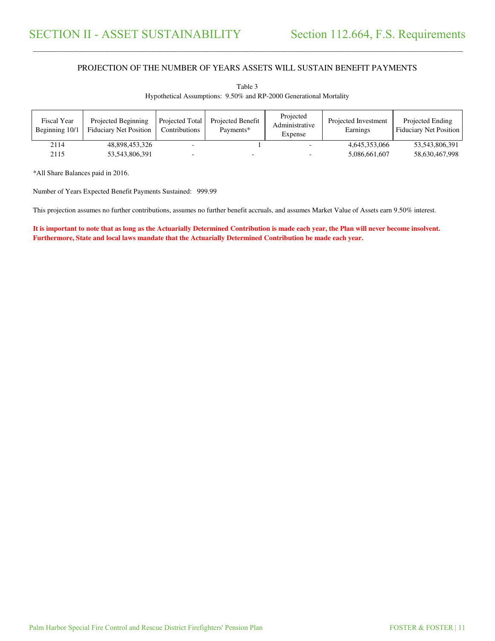\_\_\_\_\_\_\_\_\_\_\_\_\_\_\_\_\_\_\_\_\_\_\_\_\_\_\_\_\_\_\_\_\_\_\_\_\_\_\_\_\_\_\_\_\_\_\_\_\_\_\_\_\_\_\_\_\_\_\_\_\_\_\_\_\_\_\_\_\_\_\_\_\_\_\_\_\_\_\_\_\_\_\_\_\_\_\_\_\_\_\_\_\_\_\_\_\_\_\_\_\_\_\_\_\_\_\_\_\_\_\_\_\_\_\_\_\_\_\_\_\_\_\_\_\_\_\_\_\_\_\_\_\_\_\_\_\_\_\_\_\_\_\_\_\_\_\_\_\_\_

| <b>Fiscal Year</b><br>Beginning 10/1 | Projected Beginning<br><b>Fiduciary Net Position</b> | Projected Total<br>Contributions | Projected Benefit<br>Payments* | Projected<br>Administrative<br>Expense | Projected Investment<br>Earnings | Projected Ending<br>Fiduciary Net Position |
|--------------------------------------|------------------------------------------------------|----------------------------------|--------------------------------|----------------------------------------|----------------------------------|--------------------------------------------|
| 2114                                 | 48,898,453,326                                       |                                  |                                |                                        | 4,645,353,066                    | 53,543,806,391                             |
| 2115                                 | 53,543,806,391                                       |                                  | $\overline{\phantom{0}}$       |                                        | 5,086,661,607                    | 58,630,467,998                             |

Table 3 Hypothetical Assumptions: 9.50% and RP-2000 Generational Mortality

\*All Share Balances paid in 2016.

Number of Years Expected Benefit Payments Sustained: 999.99

This projection assumes no further contributions, assumes no further benefit accruals, and assumes Market Value of Assets earn 9.50% interest.

**It is important to note that as long as the Actuarially Determined Contribution is made each year, the Plan will never become insolvent. Furthermore, State and local laws mandate that the Actuarially Determined Contribution be made each year.**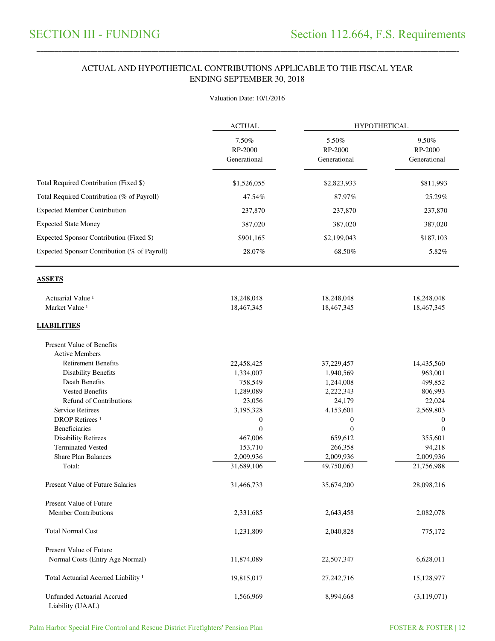#### ACTUAL AND HYPOTHETICAL CONTRIBUTIONS APPLICABLE TO THE FISCAL YEAR ENDING SEPTEMBER 30, 2018

\_\_\_\_\_\_\_\_\_\_\_\_\_\_\_\_\_\_\_\_\_\_\_\_\_\_\_\_\_\_\_\_\_\_\_\_\_\_\_\_\_\_\_\_\_\_\_\_\_\_\_\_\_\_\_\_\_\_\_\_\_\_\_\_\_\_\_\_\_\_\_\_\_\_\_\_\_\_\_\_\_\_\_\_\_\_\_\_\_\_\_\_\_\_\_\_\_\_\_\_\_\_\_\_\_\_\_\_\_\_\_\_\_\_\_\_\_\_\_\_\_\_\_\_\_\_\_\_\_\_\_\_\_\_\_\_\_\_\_\_\_\_\_\_\_\_\_\_\_\_

#### Valuation Date: 10/1/2016

|                                                       | <b>ACTUAL</b><br>7.50%<br>RP-2000<br>Generational | <b>HYPOTHETICAL</b>              |                                  |  |
|-------------------------------------------------------|---------------------------------------------------|----------------------------------|----------------------------------|--|
|                                                       |                                                   | 5.50%<br>RP-2000<br>Generational | 9.50%<br>RP-2000<br>Generational |  |
| Total Required Contribution (Fixed \$)                | \$1,526,055                                       | \$2,823,933                      | \$811,993                        |  |
| Total Required Contribution (% of Payroll)            | 47.54%                                            | 87.97%                           | 25.29%                           |  |
| <b>Expected Member Contribution</b>                   | 237,870                                           | 237,870                          | 237,870                          |  |
| <b>Expected State Money</b>                           | 387,020                                           | 387,020                          | 387,020                          |  |
|                                                       |                                                   |                                  |                                  |  |
| Expected Sponsor Contribution (Fixed \$)              | \$901,165                                         | \$2,199,043                      | \$187,103                        |  |
| Expected Sponsor Contribution (% of Payroll)          | 28.07%                                            | 68.50%                           | 5.82%                            |  |
| <b>ASSETS</b>                                         |                                                   |                                  |                                  |  |
| Actuarial Value <sup>1</sup>                          | 18,248,048                                        | 18,248,048                       | 18,248,048                       |  |
| Market Value <sup>1</sup>                             | 18,467,345                                        | 18,467,345                       | 18,467,345                       |  |
| <b>LIABILITIES</b>                                    |                                                   |                                  |                                  |  |
| Present Value of Benefits                             |                                                   |                                  |                                  |  |
| <b>Active Members</b>                                 |                                                   |                                  |                                  |  |
| <b>Retirement Benefits</b>                            | 22,458,425                                        | 37,229,457                       | 14,435,560                       |  |
| <b>Disability Benefits</b>                            | 1,334,007                                         | 1,940,569                        | 963,001                          |  |
| Death Benefits                                        | 758,549                                           | 1,244,008                        | 499,852                          |  |
| <b>Vested Benefits</b>                                | 1,289,089                                         | 2,222,343                        | 806,993                          |  |
| <b>Refund of Contributions</b>                        | 23,056                                            | 24,179                           | 22,024                           |  |
| <b>Service Retirees</b>                               | 3,195,328                                         | 4,153,601                        | 2,569,803                        |  |
| <b>DROP</b> Retirees <sup>1</sup>                     | $\boldsymbol{0}$                                  | $\boldsymbol{0}$                 | $\boldsymbol{0}$                 |  |
| Beneficiaries                                         | $\theta$                                          | $\mathbf{0}$                     | $\overline{0}$                   |  |
| <b>Disability Retirees</b>                            | 467,006                                           | 659,612                          | 355,601                          |  |
| <b>Terminated Vested</b>                              | 153,710                                           | 266,358                          | 94,218                           |  |
| <b>Share Plan Balances</b>                            | 2,009,936                                         | 2,009,936                        | 2,009,936                        |  |
| Total:                                                | 31,689,106                                        | 49,750,063                       | 21,756,988                       |  |
| <b>Present Value of Future Salaries</b>               | 31,466,733                                        | 35,674,200                       | 28,098,216                       |  |
| Present Value of Future                               |                                                   |                                  |                                  |  |
| <b>Member Contributions</b>                           | 2,331,685                                         | 2,643,458                        | 2,082,078                        |  |
| <b>Total Normal Cost</b>                              | 1,231,809                                         | 2,040,828                        | 775,172                          |  |
| Present Value of Future                               |                                                   |                                  |                                  |  |
| Normal Costs (Entry Age Normal)                       | 11,874,089                                        | 22,507,347                       | 6,628,011                        |  |
| Total Actuarial Accrued Liability <sup>1</sup>        | 19,815,017                                        | 27, 242, 716                     | 15,128,977                       |  |
| <b>Unfunded Actuarial Accrued</b><br>Liability (UAAL) | 1,566,969                                         | 8,994,668                        | (3, 119, 071)                    |  |

Palm Harbor Special Fire Control and Rescue District Firefighters' Pension Plan FOSTER & FOSTER | 12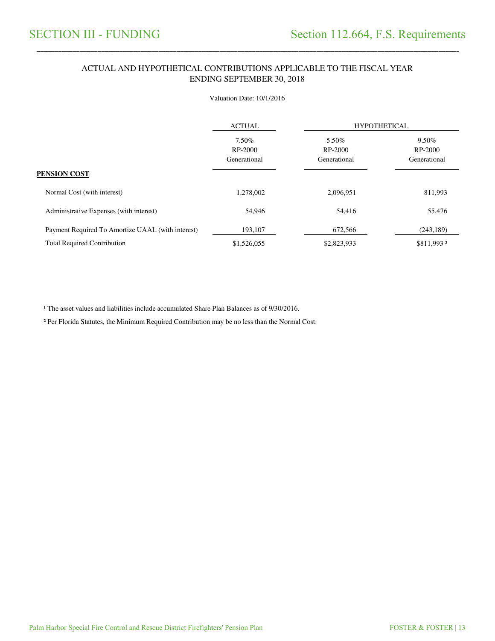#### ACTUAL AND HYPOTHETICAL CONTRIBUTIONS APPLICABLE TO THE FISCAL YEAR ENDING SEPTEMBER 30, 2018

\_\_\_\_\_\_\_\_\_\_\_\_\_\_\_\_\_\_\_\_\_\_\_\_\_\_\_\_\_\_\_\_\_\_\_\_\_\_\_\_\_\_\_\_\_\_\_\_\_\_\_\_\_\_\_\_\_\_\_\_\_\_\_\_\_\_\_\_\_\_\_\_\_\_\_\_\_\_\_\_\_\_\_\_\_\_\_\_\_\_\_\_\_\_\_\_\_\_\_\_\_\_\_\_\_\_\_\_\_\_\_\_\_\_\_\_\_\_\_\_\_\_\_\_\_\_\_\_\_\_\_\_\_\_\_\_\_\_\_\_\_\_\_\_\_\_\_\_\_\_

#### Valuation Date: 10/1/2016

|                                                   | <b>ACTUAL</b>                    | <b>HYPOTHETICAL</b>              |                                  |
|---------------------------------------------------|----------------------------------|----------------------------------|----------------------------------|
|                                                   | 7.50%<br>RP-2000<br>Generational | 5.50%<br>RP-2000<br>Generational | 9.50%<br>RP-2000<br>Generational |
| PENSION COST                                      |                                  |                                  |                                  |
| Normal Cost (with interest)                       | 1,278,002                        | 2,096,951                        | 811,993                          |
| Administrative Expenses (with interest)           | 54,946                           | 54,416                           | 55,476                           |
| Payment Required To Amortize UAAL (with interest) | 193,107                          | 672,566                          | (243, 189)                       |
| <b>Total Required Contribution</b>                | \$1,526,055                      | \$2,823,933                      | \$811,993 2                      |

<sup>1</sup> The asset values and liabilities include accumulated Share Plan Balances as of 9/30/2016.

² Per Florida Statutes, the Minimum Required Contribution may be no less than the Normal Cost.